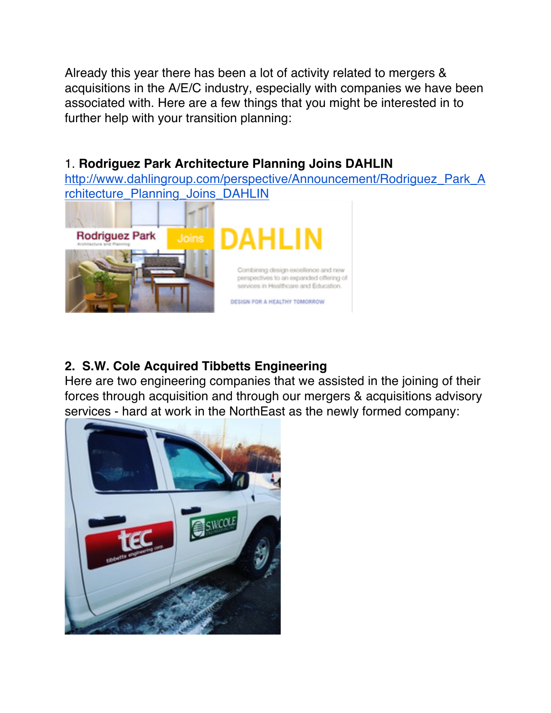Already this year there has been a lot of activity related to mergers & acquisitions in the A/E/C industry, especially with companies we have been associated with. Here are a few things that you might be interested in to further help with your transition planning:

1. **Rodriguez Park Architecture Planning Joins DAHLIN** 

http://www.dahlingroup.com/perspective/Announcement/Rodriguez\_Park\_A rchitecture\_Planning\_Joins\_DAHLIN



## **2. S.W. Cole Acquired Tibbetts Engineering**

Here are two engineering companies that we assisted in the joining of their forces through acquisition and through our mergers & acquisitions advisory services - hard at work in the NorthEast as the newly formed company:

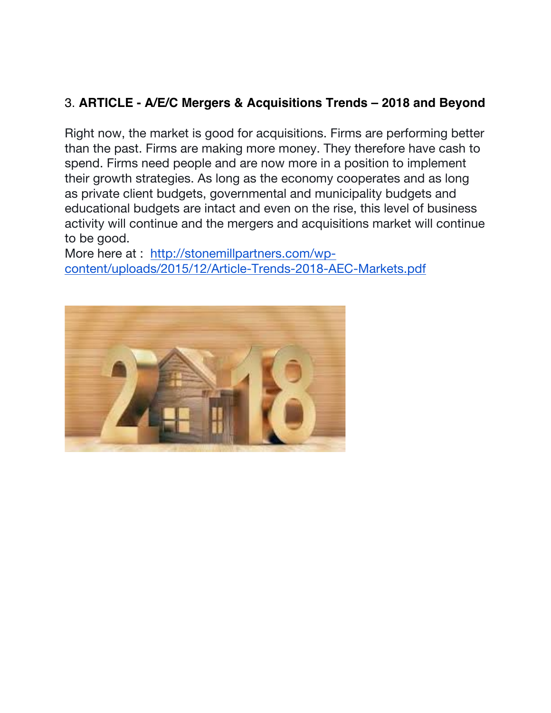## 3. **ARTICLE - A/E/C Mergers & Acquisitions Trends – 2018 and Beyond**

Right now, the market is good for acquisitions. Firms are performing better than the past. Firms are making more money. They therefore have cash to spend. Firms need people and are now more in a position to implement their growth strategies. As long as the economy cooperates and as long as private client budgets, governmental and municipality budgets and educational budgets are intact and even on the rise, this level of business activity will continue and the mergers and acquisitions market will continue to be good.

More here at : http://stonemillpartners.com/wpcontent/uploads/2015/12/Article-Trends-2018-AEC-Markets.pdf

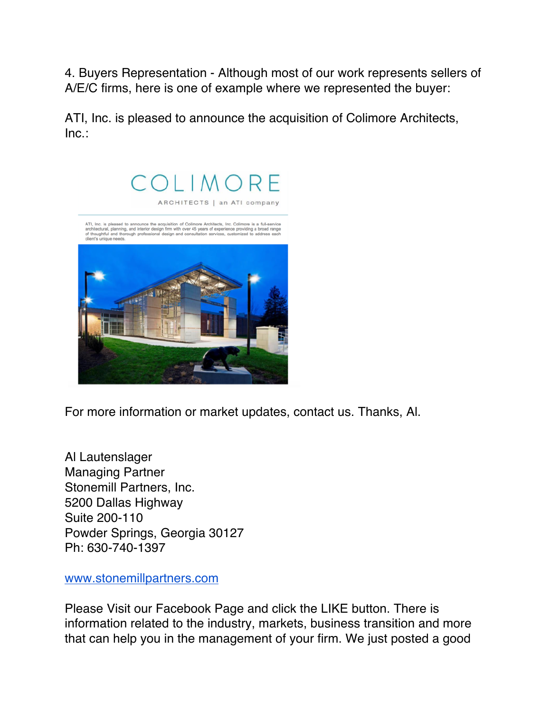4. Buyers Representation - Although most of our work represents sellers of A/E/C firms, here is one of example where we represented the buyer:

ATI, Inc. is pleased to announce the acquisition of Colimore Architects, Inc.:



For more information or market updates, contact us. Thanks, Al.

Al Lautenslager Managing Partner Stonemill Partners, Inc. 5200 Dallas Highway Suite 200-110 Powder Springs, Georgia 30127 Ph: 630-740-1397

www.stonemillpartners.com

Please Visit our Facebook Page and click the LIKE button. There is information related to the industry, markets, business transition and more that can help you in the management of your firm. We just posted a good